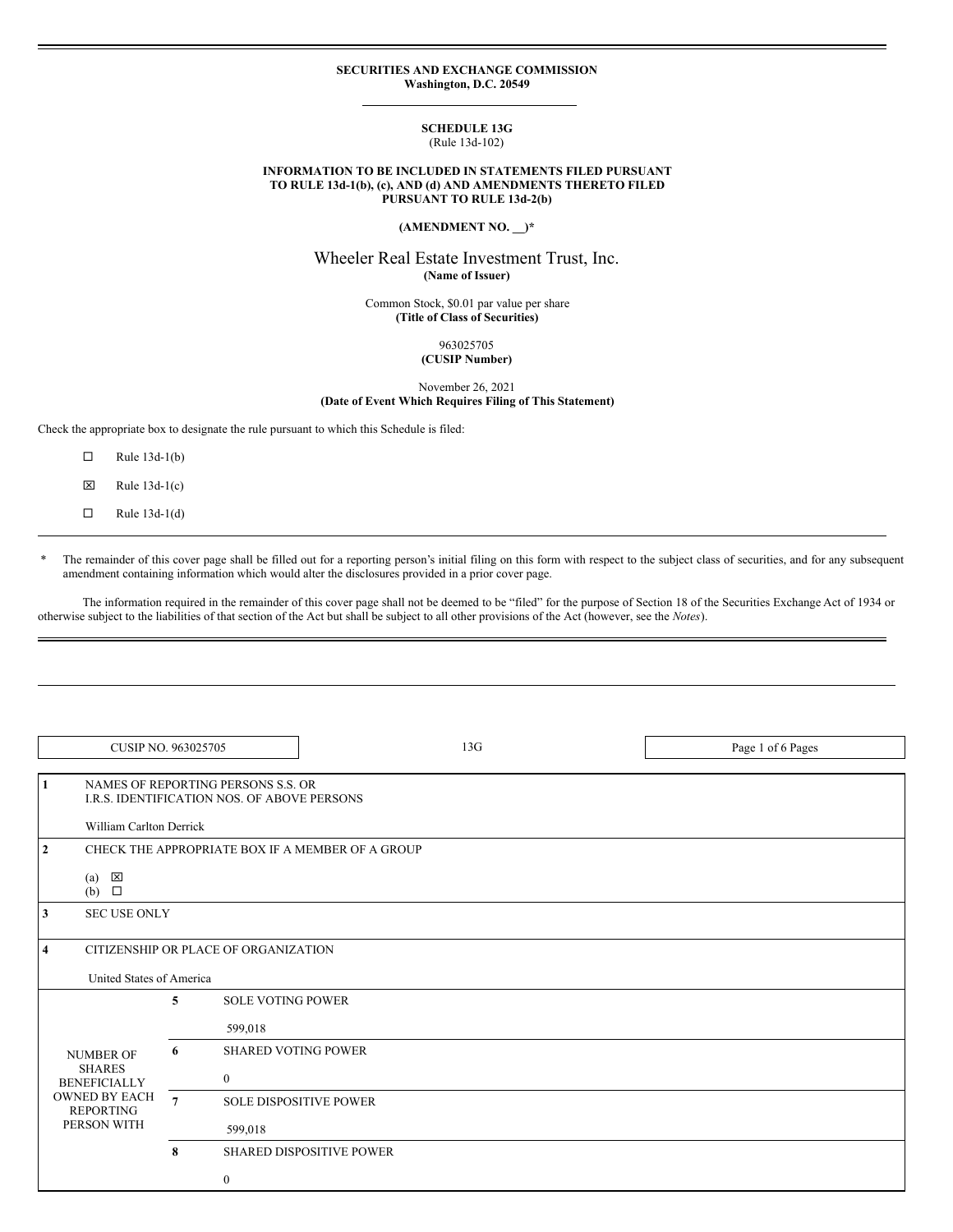#### **SECURITIES AND EXCHANGE COMMISSION Washington, D.C. 20549**

#### **SCHEDULE 13G** (Rule 13d-102)

#### **INFORMATION TO BE INCLUDED IN STATEMENTS FILED PURSUANT TO RULE 13d-1(b), (c), AND (d) AND AMENDMENTS THERETO FILED PURSUANT TO RULE 13d-2(b)**

## **(AMENDMENT NO. \_\_)\***

# Wheeler Real Estate Investment Trust, Inc. **(Name of Issuer)**

Common Stock, \$0.01 par value per share **(Title of Class of Securities)**

> 963025705 **(CUSIP Number)**

November 26, 2021 **(Date of Event Which Requires Filing of This Statement)**

Check the appropriate box to designate the rule pursuant to which this Schedule is filed:

- $\Box$  Rule 13d-1(b)
- $\boxtimes$  Rule 13d-1(c)
- $\Box$  Rule 13d-1(d)

\* The remainder of this cover page shall be filled out for a reporting person's initial filing on this form with respect to the subject class of securities, and for any subsequent amendment containing information which would alter the disclosures provided in a prior cover page.

The information required in the remainder of this cover page shall not be deemed to be "filed" for the purpose of Section 18 of the Securities Exchange Act of 1934 or otherwise subject to the liabilities of that section of the Act but shall be subject to all other provisions of the Act (however, see the *Notes*).

| CUSIP NO. 963025705                                              |                                                                                                                     |                                          | 13G                             | Page 1 of 6 Pages |
|------------------------------------------------------------------|---------------------------------------------------------------------------------------------------------------------|------------------------------------------|---------------------------------|-------------------|
| $\mathbf{1}$                                                     | NAMES OF REPORTING PERSONS S.S. OR<br><b>I.R.S. IDENTIFICATION NOS. OF ABOVE PERSONS</b><br>William Carlton Derrick |                                          |                                 |                   |
| $\mathbf{2}$<br>$(a) \quad \boxed{\boxtimes}$<br>$(b)$ $\square$ | CHECK THE APPROPRIATE BOX IF A MEMBER OF A GROUP                                                                    |                                          |                                 |                   |
| 3                                                                | <b>SEC USE ONLY</b>                                                                                                 |                                          |                                 |                   |
| $\overline{\bf{4}}$                                              | CITIZENSHIP OR PLACE OF ORGANIZATION<br>United States of America                                                    |                                          |                                 |                   |
|                                                                  | 5                                                                                                                   | <b>SOLE VOTING POWER</b><br>599,018      |                                 |                   |
| <b>NUMBER OF</b><br><b>SHARES</b><br><b>BENEFICIALLY</b>         | 6                                                                                                                   | <b>SHARED VOTING POWER</b><br>$\bf{0}$   |                                 |                   |
| <b>OWNED BY EACH</b><br><b>REPORTING</b><br>PERSON WITH          | $\overline{7}$                                                                                                      | <b>SOLE DISPOSITIVE POWER</b><br>599,018 |                                 |                   |
|                                                                  | 8                                                                                                                   | $\bf{0}$                                 | <b>SHARED DISPOSITIVE POWER</b> |                   |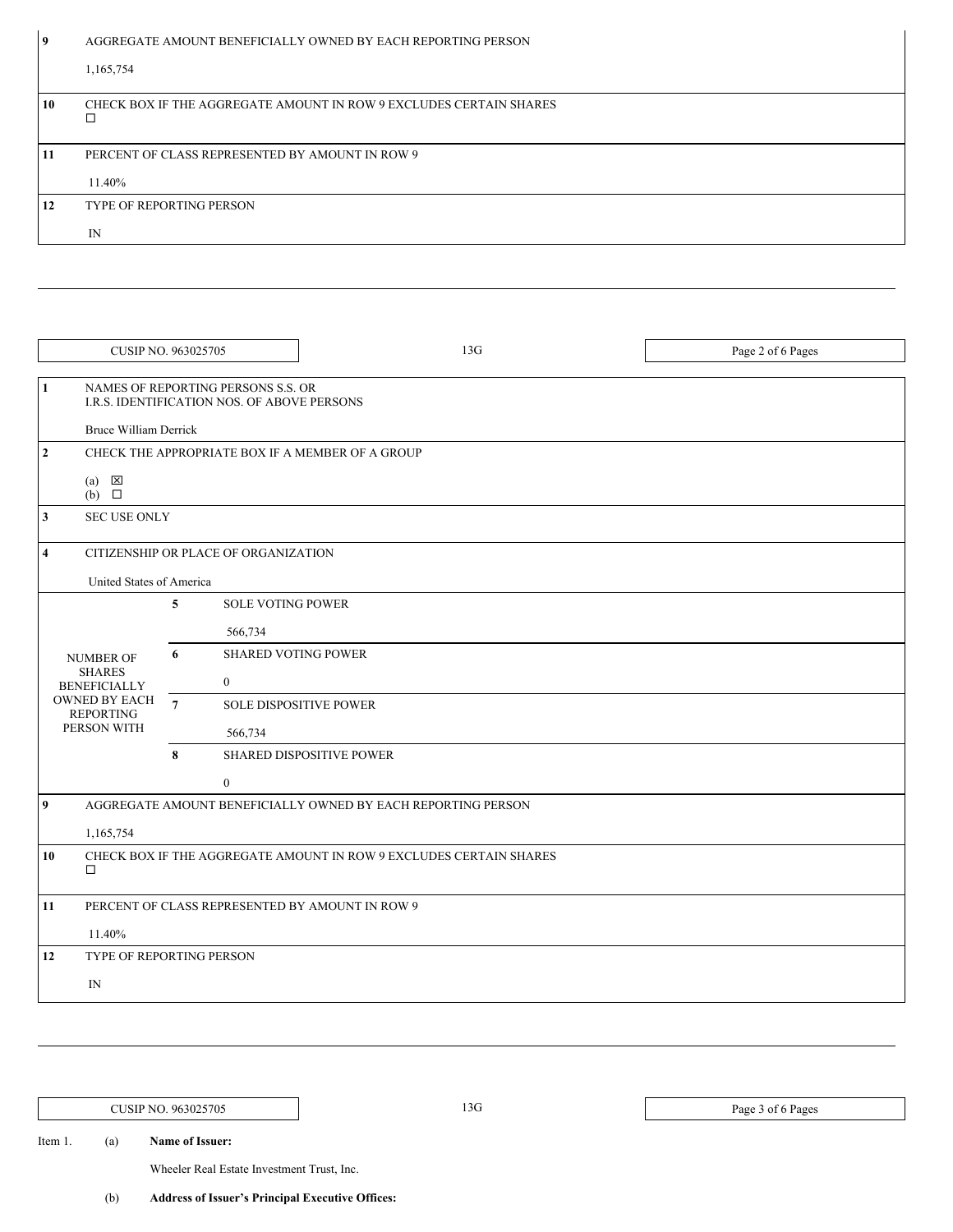| $\overline{9}$ | AGGREGATE AMOUNT BENEFICIALLY OWNED BY EACH REPORTING PERSON |
|----------------|--------------------------------------------------------------|

|    | 1,165,754                                                          |
|----|--------------------------------------------------------------------|
| 10 | CHECK BOX IF THE AGGREGATE AMOUNT IN ROW 9 EXCLUDES CERTAIN SHARES |
| 11 | PERCENT OF CLASS REPRESENTED BY AMOUNT IN ROW 9                    |
|    | 11.40%                                                             |
| 12 | <b>TYPE OF REPORTING PERSON</b>                                    |
|    | IN                                                                 |

| <b>CUSIP NO. 963025705</b>                       |                                                                    |                                                                                   | 13G                                                          | Page 2 of 6 Pages |
|--------------------------------------------------|--------------------------------------------------------------------|-----------------------------------------------------------------------------------|--------------------------------------------------------------|-------------------|
| 1<br><b>Bruce William Derrick</b>                |                                                                    | NAMES OF REPORTING PERSONS S.S. OR<br>I.R.S. IDENTIFICATION NOS. OF ABOVE PERSONS |                                                              |                   |
| $\mathbf{2}$                                     |                                                                    |                                                                                   | CHECK THE APPROPRIATE BOX IF A MEMBER OF A GROUP             |                   |
| $(a) \quad \boxed{\boxtimes}$<br>$(b)$ $\square$ |                                                                    |                                                                                   |                                                              |                   |
| <b>SEC USE ONLY</b><br>3                         |                                                                    |                                                                                   |                                                              |                   |
| CITIZENSHIP OR PLACE OF ORGANIZATION<br>4        |                                                                    |                                                                                   |                                                              |                   |
| United States of America                         |                                                                    |                                                                                   |                                                              |                   |
|                                                  | 5                                                                  | <b>SOLE VOTING POWER</b>                                                          |                                                              |                   |
|                                                  |                                                                    | 566,734                                                                           |                                                              |                   |
| <b>NUMBER OF</b>                                 | 6                                                                  | <b>SHARED VOTING POWER</b>                                                        |                                                              |                   |
| <b>SHARES</b><br><b>BENEFICIALLY</b>             |                                                                    | $\bf{0}$                                                                          |                                                              |                   |
| <b>OWNED BY EACH</b><br><b>REPORTING</b>         | $\overline{7}$                                                     | <b>SOLE DISPOSITIVE POWER</b>                                                     |                                                              |                   |
| PERSON WITH                                      |                                                                    | 566,734                                                                           |                                                              |                   |
|                                                  | 8                                                                  |                                                                                   | SHARED DISPOSITIVE POWER                                     |                   |
|                                                  |                                                                    | $\boldsymbol{0}$                                                                  |                                                              |                   |
| 9                                                |                                                                    |                                                                                   | AGGREGATE AMOUNT BENEFICIALLY OWNED BY EACH REPORTING PERSON |                   |
| 1,165,754                                        |                                                                    |                                                                                   |                                                              |                   |
| 10<br>$\Box$                                     | CHECK BOX IF THE AGGREGATE AMOUNT IN ROW 9 EXCLUDES CERTAIN SHARES |                                                                                   |                                                              |                   |
| 11                                               | PERCENT OF CLASS REPRESENTED BY AMOUNT IN ROW 9                    |                                                                                   |                                                              |                   |
| 11.40%                                           |                                                                    |                                                                                   |                                                              |                   |
| 12<br>TYPE OF REPORTING PERSON                   |                                                                    |                                                                                   |                                                              |                   |
| IN                                               |                                                                    |                                                                                   |                                                              |                   |

CUSIP NO. 963025705 13G Page 3 of 6 Pages

Item 1. (a) **Name of Issuer:**

Wheeler Real Estate Investment Trust, Inc.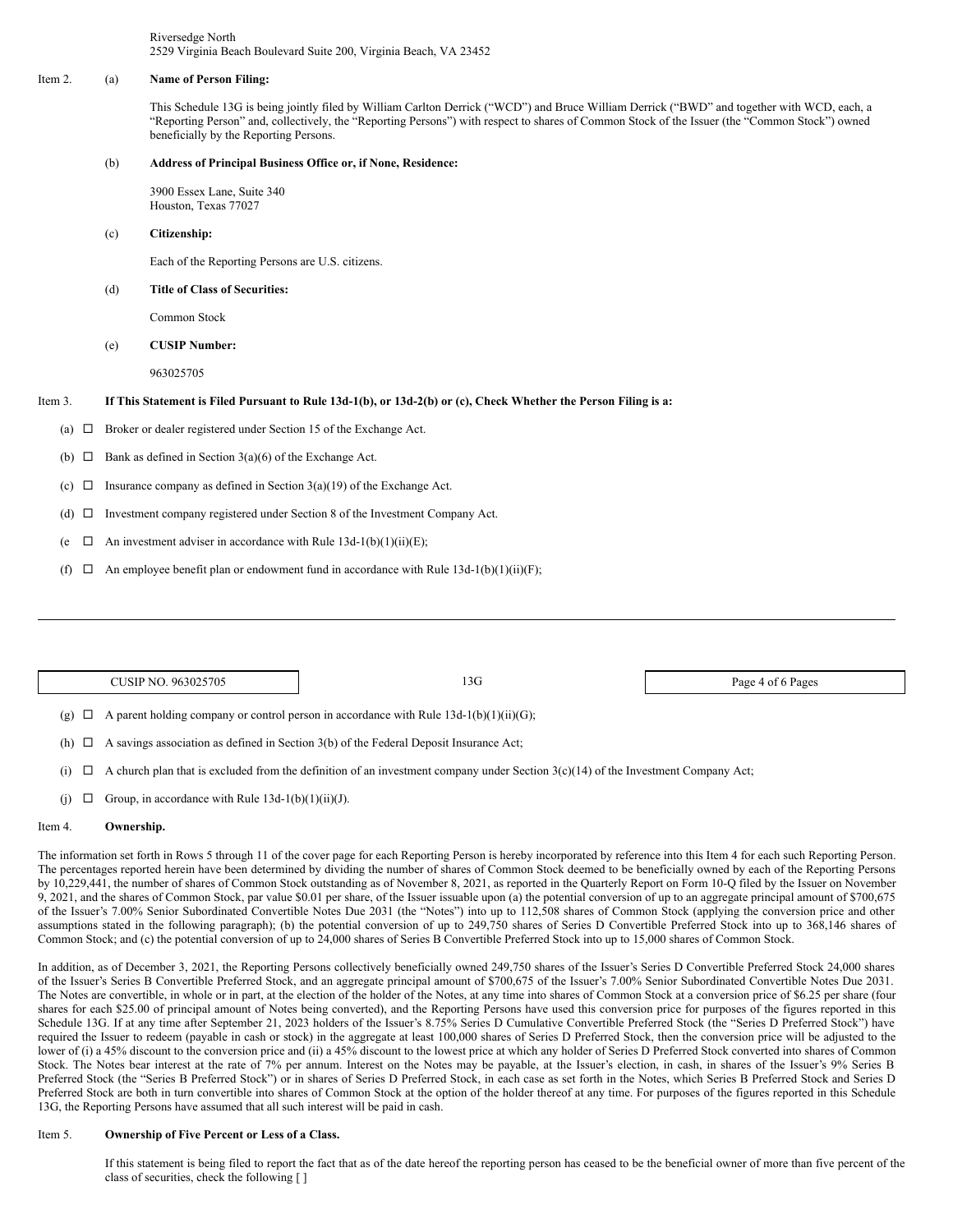Riversedge North 2529 Virginia Beach Boulevard Suite 200, Virginia Beach, VA 23452

#### Item 2. (a) **Name of Person Filing:**

This Schedule 13G is being jointly filed by William Carlton Derrick ("WCD") and Bruce William Derrick ("BWD" and together with WCD, each, a "Reporting Person" and, collectively, the "Reporting Persons") with respect to shares of Common Stock of the Issuer (the "Common Stock") owned beneficially by the Reporting Persons.

#### (b) **Address of Principal Business Office or, if None, Residence:**

3900 Essex Lane, Suite 340 Houston, Texas 77027

### (c) **Citizenship:**

Each of the Reporting Persons are U.S. citizens.

### (d) **Title of Class of Securities:**

Common Stock

## (e) **CUSIP Number:**

963025705

## Item 3. If This Statement is Filed Pursuant to Rule 13d-1(b), or 13d-2(b) or (c), Check Whether the Person Filing is a:

(a)  $\Box$  Broker or dealer registered under Section 15 of the Exchange Act.

- (b)  $\Box$  Bank as defined in Section 3(a)(6) of the Exchange Act.
- (c)  $\Box$  Insurance company as defined in Section 3(a)(19) of the Exchange Act.
- (d)  $\Box$  Investment company registered under Section 8 of the Investment Company Act.
- (e  $\Box$  An investment adviser in accordance with Rule 13d-1(b)(1)(ii)(E);
- (f)  $\Box$  An employee benefit plan or endowment fund in accordance with Rule 13d-1(b)(1)(ii)(F);

| CUSIP NO. 963025705                                                                               | 13G | Page 4 of 6 Pages |
|---------------------------------------------------------------------------------------------------|-----|-------------------|
| A parent holding company or control person in accordance with Rule $13d-1(b)(1)(ii)(G)$ ;<br>(စ္) |     |                   |

- 
- (h)  $\Box$  A savings association as defined in Section 3(b) of the Federal Deposit Insurance Act;
- (i)  $\Box$  A church plan that is excluded from the definition of an investment company under Section 3(c)(14) of the Investment Company Act;
- (j)  $\Box$  Group, in accordance with Rule 13d-1(b)(1)(ii)(J).

## Item 4. **Ownership.**

The information set forth in Rows 5 through 11 of the cover page for each Reporting Person is hereby incorporated by reference into this Item 4 for each such Reporting Person. The percentages reported herein have been determined by dividing the number of shares of Common Stock deemed to be beneficially owned by each of the Reporting Persons by 10,229,441, the number of shares of Common Stock outstanding as of November 8, 2021, as reported in the Quarterly Report on Form 10-Q filed by the Issuer on November 9, 2021, and the shares of Common Stock, par value \$0.01 per share, of the Issuer issuable upon (a) the potential conversion of up to an aggregate principal amount of \$700,675 of the Issuer's 7.00% Senior Subordinated Convertible Notes Due 2031 (the "Notes") into up to 112,508 shares of Common Stock (applying the conversion price and other assumptions stated in the following paragraph); (b) the potential conversion of up to 249,750 shares of Series D Convertible Preferred Stock into up to 368,146 shares of Common Stock; and (c) the potential conversion of up to 24,000 shares of Series B Convertible Preferred Stock into up to 15,000 shares of Common Stock.

In addition, as of December 3, 2021, the Reporting Persons collectively beneficially owned 249,750 shares of the Issuer's Series D Convertible Preferred Stock 24,000 shares of the Issuer's Series B Convertible Preferred Stock, and an aggregate principal amount of \$700,675 of the Issuer's 7.00% Senior Subordinated Convertible Notes Due 2031. The Notes are convertible, in whole or in part, at the election of the holder of the Notes, at any time into shares of Common Stock at a conversion price of \$6.25 per share (four shares for each \$25.00 of principal amount of Notes being converted), and the Reporting Persons have used this conversion price for purposes of the figures reported in this Schedule 13G. If at any time after September 21, 2023 holders of the Issuer's 8.75% Series D Cumulative Convertible Preferred Stock (the "Series D Preferred Stock") have required the Issuer to redeem (payable in cash or stock) in the aggregate at least 100,000 shares of Series D Preferred Stock, then the conversion price will be adjusted to the lower of (i) a 45% discount to the conversion price and (ii) a 45% discount to the lowest price at which any holder of Series D Preferred Stock converted into shares of Common Stock. The Notes bear interest at the rate of 7% per annum. Interest on the Notes may be payable, at the Issuer's election, in cash, in shares of the Issuer's 9% Series B Preferred Stock (the "Series B Preferred Stock") or in shares of Series D Preferred Stock, in each case as set forth in the Notes, which Series B Preferred Stock and Series D Preferred Stock are both in turn convertible into shares of Common Stock at the option of the holder thereof at any time. For purposes of the figures reported in this Schedule 13G, the Reporting Persons have assumed that all such interest will be paid in cash.

#### Item 5. **Ownership of Five Percent or Less of a Class.**

If this statement is being filed to report the fact that as of the date hereof the reporting person has ceased to be the beneficial owner of more than five percent of the class of securities, check the following [ ]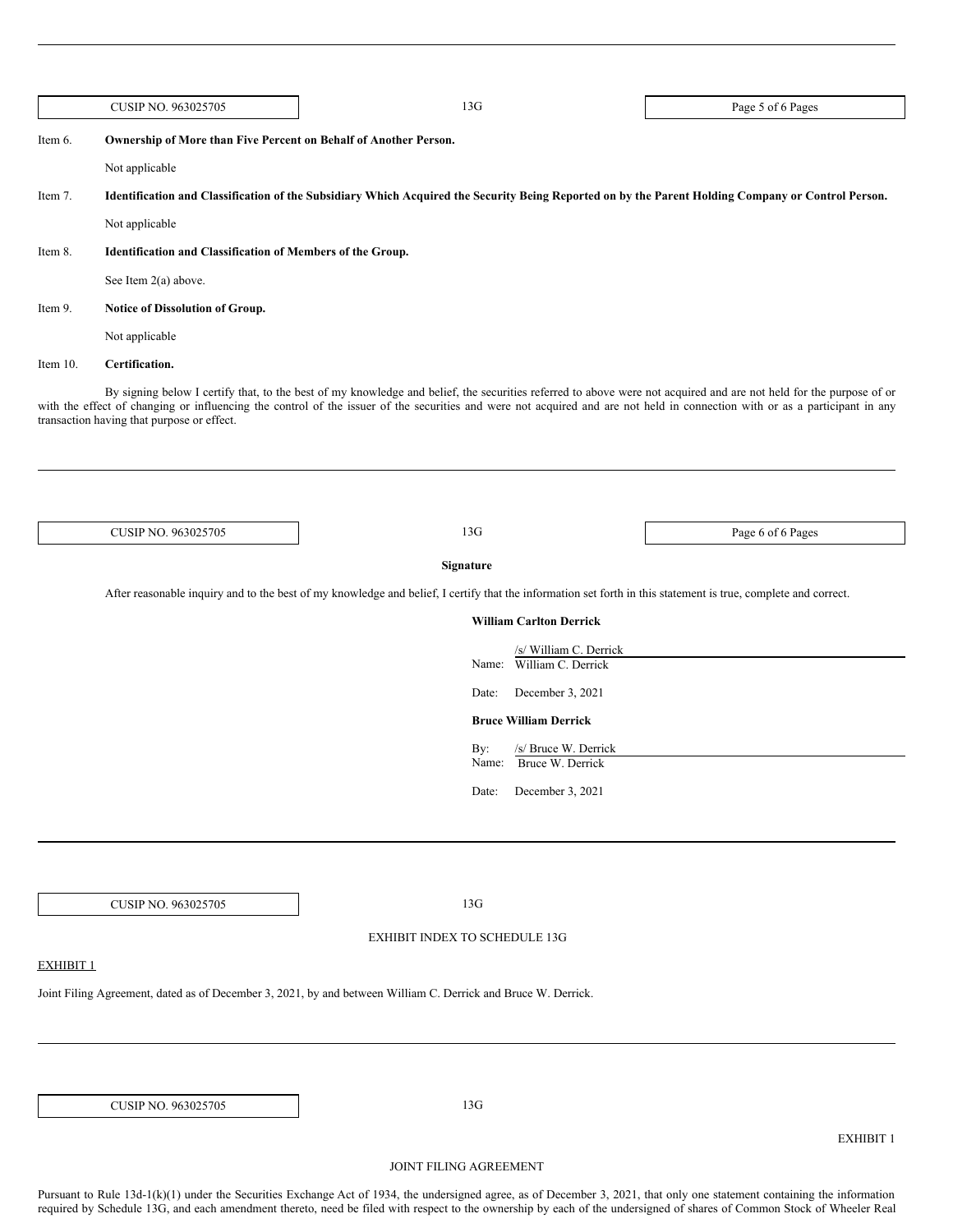|                  | CUSIP NO. 963025705                                              | 13G                                                                                                                                                                                                                                                                                                                                               | Page 5 of 6 Pages |
|------------------|------------------------------------------------------------------|---------------------------------------------------------------------------------------------------------------------------------------------------------------------------------------------------------------------------------------------------------------------------------------------------------------------------------------------------|-------------------|
| Item 6.          | Ownership of More than Five Percent on Behalf of Another Person. |                                                                                                                                                                                                                                                                                                                                                   |                   |
|                  | Not applicable                                                   |                                                                                                                                                                                                                                                                                                                                                   |                   |
| Item 7.          |                                                                  | Identification and Classification of the Subsidiary Which Acquired the Security Being Reported on by the Parent Holding Company or Control Person.                                                                                                                                                                                                |                   |
|                  | Not applicable                                                   |                                                                                                                                                                                                                                                                                                                                                   |                   |
| Item 8.          | Identification and Classification of Members of the Group.       |                                                                                                                                                                                                                                                                                                                                                   |                   |
|                  | See Item 2(a) above.                                             |                                                                                                                                                                                                                                                                                                                                                   |                   |
| Item 9.          | Notice of Dissolution of Group.                                  |                                                                                                                                                                                                                                                                                                                                                   |                   |
|                  | Not applicable                                                   |                                                                                                                                                                                                                                                                                                                                                   |                   |
| Item 10.         | Certification.                                                   |                                                                                                                                                                                                                                                                                                                                                   |                   |
|                  | transaction having that purpose or effect.                       | By signing below I certify that, to the best of my knowledge and belief, the securities referred to above were not acquired and are not held for the purpose of or<br>with the effect of changing or influencing the control of the issuer of the securities and were not acquired and are not held in connection with or as a participant in any |                   |
|                  | CUSIP NO. 963025705                                              | 13G                                                                                                                                                                                                                                                                                                                                               | Page 6 of 6 Pages |
|                  |                                                                  |                                                                                                                                                                                                                                                                                                                                                   |                   |
|                  |                                                                  | Signature                                                                                                                                                                                                                                                                                                                                         |                   |
|                  |                                                                  | After reasonable inquiry and to the best of my knowledge and belief, I certify that the information set forth in this statement is true, complete and correct.                                                                                                                                                                                    |                   |
|                  |                                                                  | <b>William Carlton Derrick</b>                                                                                                                                                                                                                                                                                                                    |                   |
|                  |                                                                  | /s/ William C. Derrick<br>Name: William C. Derrick                                                                                                                                                                                                                                                                                                |                   |
|                  |                                                                  | December 3, 2021<br>Date:                                                                                                                                                                                                                                                                                                                         |                   |
|                  |                                                                  | <b>Bruce William Derrick</b>                                                                                                                                                                                                                                                                                                                      |                   |
|                  |                                                                  | /s/ Bruce W. Derrick<br>By:                                                                                                                                                                                                                                                                                                                       |                   |
|                  |                                                                  | Name: Bruce W. Derrick                                                                                                                                                                                                                                                                                                                            |                   |
|                  |                                                                  | December 3, 2021<br>Date:                                                                                                                                                                                                                                                                                                                         |                   |
|                  |                                                                  |                                                                                                                                                                                                                                                                                                                                                   |                   |
|                  |                                                                  |                                                                                                                                                                                                                                                                                                                                                   |                   |
|                  |                                                                  |                                                                                                                                                                                                                                                                                                                                                   |                   |
|                  | CUSIP NO. 963025705                                              | 13G                                                                                                                                                                                                                                                                                                                                               |                   |
|                  |                                                                  | EXHIBIT INDEX TO SCHEDULE 13G                                                                                                                                                                                                                                                                                                                     |                   |
| <b>EXHIBIT 1</b> |                                                                  |                                                                                                                                                                                                                                                                                                                                                   |                   |
|                  |                                                                  | Joint Filing Agreement, dated as of December 3, 2021, by and between William C. Derrick and Bruce W. Derrick.                                                                                                                                                                                                                                     |                   |
|                  |                                                                  |                                                                                                                                                                                                                                                                                                                                                   |                   |
|                  |                                                                  |                                                                                                                                                                                                                                                                                                                                                   |                   |
|                  |                                                                  |                                                                                                                                                                                                                                                                                                                                                   |                   |
|                  | CUSIP NO. 963025705                                              | 13G                                                                                                                                                                                                                                                                                                                                               |                   |
|                  |                                                                  |                                                                                                                                                                                                                                                                                                                                                   | <b>EXHIBIT 1</b>  |
|                  |                                                                  | JOINT FILING AGREEMENT                                                                                                                                                                                                                                                                                                                            |                   |

Pursuant to Rule 13d-1(k)(1) under the Securities Exchange Act of 1934, the undersigned agree, as of December 3, 2021, that only one statement containing the information required by Schedule 13G, and each amendment thereto, need be filed with respect to the ownership by each of the undersigned of shares of Common Stock of Wheeler Real